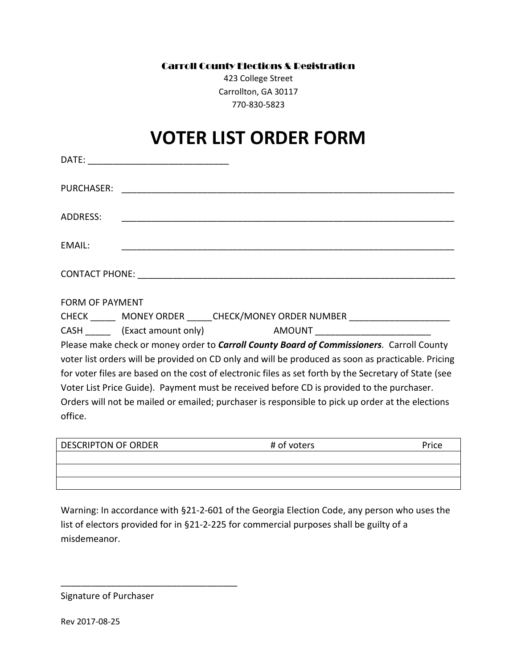Carroll County Elections & Registration

423 College Street Carrollton, GA 30117 770-830-5823

## **VOTER LIST ORDER FORM**

| ADDRESS:               |                     | <u> 1989 - Johann John Stoff, deutscher Stoffen und der Stoffen und der Stoffen und der Stoffen und der Stoffen</u>                                                                                                                                                                                              |        |
|------------------------|---------------------|------------------------------------------------------------------------------------------------------------------------------------------------------------------------------------------------------------------------------------------------------------------------------------------------------------------|--------|
| EMAIL:                 |                     |                                                                                                                                                                                                                                                                                                                  |        |
|                        |                     |                                                                                                                                                                                                                                                                                                                  |        |
| <b>FORM OF PAYMENT</b> |                     |                                                                                                                                                                                                                                                                                                                  |        |
|                        |                     | CHECK _______ MONEY ORDER ______CHECK/MONEY ORDER NUMBER _______________________                                                                                                                                                                                                                                 |        |
|                        |                     |                                                                                                                                                                                                                                                                                                                  |        |
|                        |                     | Please make check or money order to <i>Carroll County Board of Commissioners</i> . Carroll County<br>voter list orders will be provided on CD only and will be produced as soon as practicable. Pricing<br>for voter files are based on the cost of electronic files as set forth by the Secretary of State (see |        |
|                        |                     | Voter List Price Guide). Payment must be received before CD is provided to the purchaser.                                                                                                                                                                                                                        |        |
|                        |                     | Orders will not be mailed or emailed; purchaser is responsible to pick up order at the elections                                                                                                                                                                                                                 |        |
| office.                |                     |                                                                                                                                                                                                                                                                                                                  |        |
|                        | DESCRIPTON OF ORDER | $\#$ of voters $\#$                                                                                                                                                                                                                                                                                              | Dri∩e. |

| <b>DESCRIPTON OF ORDER</b> | # of voters | Price |
|----------------------------|-------------|-------|
|                            |             |       |
|                            |             |       |
|                            |             |       |

Warning: In accordance with §21-2-601 of the Georgia Election Code, any person who uses the list of electors provided for in §21-2-225 for commercial purposes shall be guilty of a misdemeanor.

Signature of Purchaser

\_\_\_\_\_\_\_\_\_\_\_\_\_\_\_\_\_\_\_\_\_\_\_\_\_\_\_\_\_\_\_\_\_\_\_